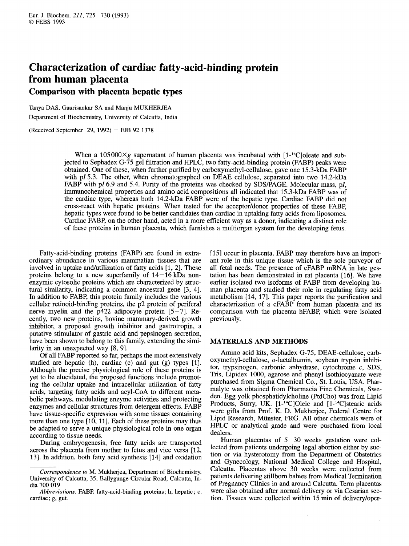# **Characterization of cardiac fatty-acid-binding protein from human placenta Comparison with placenta hepatic types from human placenta**<br> **Comparison with placenta hepatic types**<br>
Tanya DAS, Gaurisankar SA and Manju MUKHERJEA<br>
Department of Biochemistry, University of Calcutta, India<br>
(Received September 29, 1992) – EJB 92 1378

Tanya DAS, Gaurisankar **SA** and Manju MUKHERJEA Department of Biochemistry, University of Calcutta, India

When a 105000 $\times$ g supernatant of human placenta was incubated with [1-<sup>14</sup>C]oleate and subjected to Sephadex G-75 gel filtration and HPLC, two fatty-acid-binding protein (FABP) peaks were obtained. One of these, when further purified by carboxymethyl-cellulose, gave one 15.3-kDa FABP with pI 5.3. The other, when chromatographed on DEAE cellulose, separated into two 14.2-kDa FABP with pl 6.9 and 5.4. Purity of the proteins was checked by SDS/PAGE. Molecular mass, pl, immunochemical properties and amino acid compositions all indicated that 15.3-kDa FABP was of the cardiac type, whereas both 14.2-kDa FABP were of the hepatic type. Cardiac FABP did not cross-react with hepatic proteins. When tested for the acceptor/donor properties of these FABP, hepatic types were found to be better candidates than cardiac in uptaking fatty acids from liposomes. Cardiac FABP, on the other hand, acted in a more efficient way as a donor, indicating a distinct role of these proteins in human placenta, which furnishes a multiorgan system for the developing fetus.

Fatty-acid-binding proteins (FABP) are found in extraordinary abundance in various mammalian tissues that are involved in uptake and/utilization of fatty acids  $[1, 2]$ . These proteins belong to a new superfamily of  $14-16$  kDa nonenzymic cytosolic proteins which are characterized by structural similarity, indicating a common ancestral gene [3, 41. In addition to FABP, this protein family includes the various cellular retinoid-binding proteins, the **p2** protein of periferal nerve myelin and the  $p422$  adipocyte protein [5-7]. Recently, two new proteins, bovine mammary-derived growth inhibitor, a proposed growth inhibitor and gastrotropin, a putative stimulator of gastric acid and pepsinogen secretion, have been shown to belong to this family, extending the similarity in an unexpected way [8, 9].

Of all FABP reported so far, perhaps the most extensively studied are hepatic (h), cardiac (c) and gut (g) types [1]. Although the precise physiological role of these proteins is yet to be elucidated, the proposed functions include promoting the cellular uptake and intracellular utilization of fatty acids, targeting fatty acids and acyl-CoA to different metabolic pathways, modulating enzyme activities and protecting enzymes and cellular structures from detergent effects. FABP have tissue-specific expression with some tissues containing more than one type  $[10, 11]$ . Each of these proteins may thus be adapted to serve a unique physiological role in one organ according to tissue needs.

During embryogenesis, free fatty acids are transported across the placenta from mother to fetus and vice versa [12, 131. In addition, both fatty acid synthesis [14] and oxidation [15] occur in placenta. FABP may therefore have an important role in this unique tissue which is the sole purveyor of all fetal needs. The presence of cFABP mRNA in late gestation has been demonstrated in rat placenta [16]. We have earlier isolated two isofoms of FABP from developing human placenta and studied their role in regulating fatty acid metabolism [14, 171. This paper reports the purification and characterization of a cFABP from human placenta and its comparison with the placenta hFABP, which were isolated previously.

## **MATERIALS AND METHODS**

Amino acid kits, Sephadex G-75, DEAE-cellulose, carboxymethyl-cellulose, a-lactalbumin, soybean trypsin inhibitor, trypsinogen, carbonic anhydrase, cytochrome c, SDS, Tris, Lipidex 1000, agarose and phenyl isothiocyanate were purchased from Sigma Chemical Co., St. Louis, USA. Pharmalyte was obtained from Pharmacia Fine Chemicals, Sweden. Egg yolk phosphatidylcholine (PtdCho) was from Lipid Products, Surry, UK. [1-<sup>14</sup>C]Oleic and [1-<sup>14</sup>C]stearic acids were gifts from Prof. K. D. Mukherjee, Federal Centre for Lipid Research, Miinster, FRG. All other chemicals were of HPLC or analytical grade and were purchased from local dealers.

Froducts, 3diry, OK. [1<sup>2</sup> C<sub>J</sub>Oleic and [1<sup>2</sup> C<sub>J</sub>steanc actos were gifts from Prof. K. D. Mukherjee, Federal Centre for Lipid Research, Münster, FRG. All other chemicals were of HPLC or analytical grade and were purchase Human placentas of 5-30 weeks gestation were collected from patients undergoing legal abortion either by suction or via hysterotomy from the Department of Obstetrics and Gynecology, National Medical College and Hospital, Calcutta. Placentas above 30 weeks were collected from patients delivering stillborn babies from Medical Termination of Pregnancy Clinics in and around Calcutta. Term placentas were also obtained after normal delivery or via Cesarian section. Tissues were collected within 15 min of delivery/oper-

 $\bar{\bar{z}}$ 

University of Calcutta, 35, Ballygunge Circular Road, Calcutta, In-*Correspondence to* M. Mukherjea, Department of Biochemistry, dia 700 019

*Abbreviations.* FABP, fatty-acid-binding proteins ; h, hepatic ; c, cardiac ; g, gut.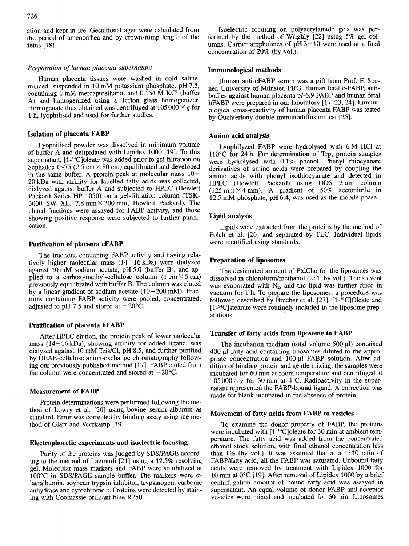ation and kept in ice. Gestational ages were calculated from the period of amenorrhea and by crown-rump length of the fetus [18].

# *Preparation*  of *human placenta supematant*

Human placenta tissues were washed in cold saline, minced, suspended in 10 mM potassium phosphate,  $pH$  7.5, containing 1 mM mercaptoethanol and 0.154 M KC1 (buffer A) and homogenized using a Teflon glass homogenizer.<br>Homogenate thus obtained was centrifuged at  $105000 \times g$  for Freparation of human placenta supernatant<br>
Human placenta tissues were washed in cold saline,<br>
Human anti-cFABP serum was a gift from Prof. F. Spe-<br>
containing 1 mM mercaptoethanol and 0.154 M KCl (buffer<br>
A) and homogeniz 1 h, lyophilised and used

# **Isolation of placenta FABP**

Lyophilised powder was dissolved in minimum volume of buffer A and delipidated with Lipidex 1000 (191. To this supernatant, [1-<sup>14</sup>C]oleate was added prior to gel filtration on Sephadex G-75 (2.5 cm  $\times$  80 cm) equilibrated and developed in the same buffer. A protein peak at molecular mass  $10-$ 20kDa with affinity for labelled fatty acids was collected, dialyzed against buffer A and subjected to HPLC (Hewlett Lyophilised powder was dissolved in minimum volume<br>
of buffer A and delipidated with Lipidax 1000 [19]. To this<br>
supernatant, [1-<sup>1</sup>·C]oleate was added prior to gel filtration on<br>
Sephadex G-75 (2.5 cm × 80 cm) equilibrat 3000 SW XL,  $7.8 \text{ mm} \times 300 \text{ mm}$ , Hewlett Packard). The eluted fractions were assayed for FABP activity, and those showing positive response were subjected to further purification.

#### **Purification of placenta cFABP**

The fractions containing FABP activity and having relatively higher molecular mass  $(14-16 \text{ kDa})$  were dialyzed against 1OmM sodium acetate, pH5.0 (buffer B), and applied to a carboxymethyl-cellulose column  $(1 \text{ cm} \times 5 \text{ cm})$ previously equilibrated with buffer B. The column was eluted<br>by a linear gradient of sodium acetate  $(10-200 \text{ mM})$ . Frac-**Purification of placenta cFABP**<br>
were identified using standards.<br>
The fractions containing FABP activity and having rela-<br>
tively higher molecular mass (14-16 kDa) were dialyzed<br>
against 10 mM sodium acetate, pH 5.0 (bu tions containing FABP activity were pooled, concentrated, adjusted to pH 7.5 and stored at  $-20^{\circ}$ C.

## **Purification of placenta hFABP**

After HPLC elution, the protein peak of lower molecular mass  $(14-16 \text{ kDa})$ , showing affinity for added ligand, was dialysed against 10 mM Tris/Cl, pH 8.5, and further purified by DEAE-cellulose anion-exchange chromatography following our previously published method [17]. FABP eluted from the column were concentrated and stored at  $-20^{\circ}$ C.

#### **Measurement of FABP**

Protein determinations were performed following the method of Lowry et al. [20] using bovine serum albumin as standard, Error was corrected by binding assay using the method of Glatz and Veerkamp [19].

# **Electrophoretic experiments and isoelectric focusing**

Purity of the proteins was judged by SDSPAGE according to the method of Laemmli [21] using a 12.5% resolving gel. Molecular mass markers and FABP were solubilized at lactalbumin, soybean trypsin inhibitor, trypsinogen, carbonic anhydrase and cytochrome *c.* Proteins were detected by staining with Coomassie brilliant blue R250.

ept in ice. Gestational ages were calculated from <br>*zysigon polyacrylamide* gels was per-<br>*formed by crown-rump* length of the formed by the method of Wrighly [22] using 5% gel col-<br>umns. Carrier ampholines of pH 3–10 were Isoelectric focusing on polyacrylamide gels was per-<br>formed by the method of Wrighly [22] using 5% gel col-Isoelectric focusing on polyacrylamide gels was performed by the method of Wrighly [22] using 5% gel col-<br>umns. Carrier ampholines of pH  $3-10$  were used at a final<br>concentration of  $20\%$  (by yol). umns. Carrier ampholines of  $pH$  3-10 were used at a final concentration of 20% (by vol.).

#### **Immunological methods**

*centa supernatant*<br> **z** were washed in cold saline, Human anti-cFABP serum was a gift from Prof. F. Spe-<br>
mM potassium phosphate, pH 7.5, ner, University of Münster, FRG. Human fetal c-FABP, anti-<br>
oethanol and 0.154 M K Human anti-cFABP serum was a gift from Prof. F. Spener, University of Munster, FRG. Human fetal c-FABP, antibodies against human placenta pl-6.9 FABP and human fetal hFABP were prepared in our laboratory [17, 23, 24]. Immunological cross-reactivity of human placenta FABP was tested by Ouchterlony double-immunodiffusion test *[25].* 

## **Amino acid analysis**

Lyophilyzed FABP were hydrolysed with 6M HCl at 110°C for 24 h. For determination of Trp, protein samples were hydrolysed with 0.1% phenol. Phenyl thiocyanate derivatives of amino acids were prepared by coupling the amino acids with phenyl isothiocyanate and detected in HPLC (Hewlett Packard) using  $ODS$  2  $\mu$ m column  $(125 \text{ mm} \times 4 \text{ mm})$ . A gradient of 50% acetonitrile in 12.5 mM phosphate, pH  $6.4$ , was used as the mobile phase.

# **Lipid analysis**

Lipids were extracted from the proteins by the method of Folch et al. [26] and separated by TLC. Individual lipids were identified using standards.

## **Preparation of liposomes**

The designated amount of PtdCho for the liposomes was dissolved in chloroform/methanol  $(2:1,$  by vol.). The solvent was evaporated with  $N_2$ , and the lipid was further dried in vacuum for 1 h. To prepare the liposomes, a procedure was followed described by Brecher et al.  $[27]$ .  $[1$ -<sup>14</sup>C]Oleate and [1-<sup>14</sup>C]stearate were routinely included in the liposome preparations.

## **Transfer of fatty acids from liposome to FABP**

The incubation medium (total volume  $500 \mu l$ ) contained 400 pl fatty-acid-containing liposomes diluted to the appropriate concentration and 100 pl FABP solution. After addition of binding protein and gentle mixing, the samples were incubated for 60 min at room temperature and centrifuged at  $105000 \times g$  for 30 min at 4°C. Radioactivity in the super-Transfer of fatty acids from liposome to FABP<br>The incubation medium (total volume 500  $\mu$ l) contained<br>400  $\mu$ l fatty-acid-containing liposomes diluted to the appro-<br>priate concentration and 100  $\mu$ l FABP solution. Afte natant represented the FABP-bound ligand. A correction was made for blank incubated in the absence of protein.

# **Movement of fatty acids from FABP to vesicles**

10 examine the donor property of FABP, the proteins<br>
10 examine the donor property of FABP, the proteins<br>
16 examine the donor property of FABP, the proteins<br>
16 examine the markers and **isoelectric focusing**<br>
16 examine t To examine the donor property of FABP, the proteins were incubated with [1-<sup>14</sup>C]oleate for 30 min at ambient temperature. The fatty acid was added from the concentrated ethanol stock solution, with final ethanol concentration less than  $1\%$  (by vol.). It was assumed that at a 1:10 ratio of FABP/fatty acid, all the FABP was saturated. Unbound fatty acids were removed by treatment with Lipidex 1000 for 10 min at 0°C [19]. After removal of Lipidex 1000 by a brief centrifugation amount of bound fatty acid was assayed in supernatant. An equal volume of donor FABP and acceptor vesicles were mixed and incubated for 60min. Liposomes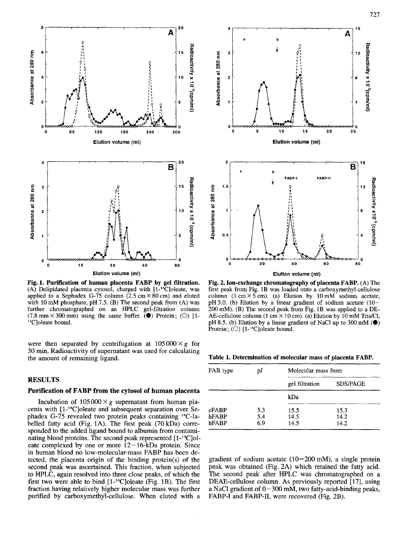

**Fig. 1. Purification of human placenta FABP by gel filtration.**  with 10 mM phosphate, pH 7.5. (B) The second peak from (A) was (A) Delipidated placenta cytosol, charged with [l-'4C]oleate, applied to a Sephadex G-75 column  $(2.5 \text{ cm} \times 80 \text{ cm})$  and eluted further chromatographed on **an** HPLC gel-filtration column  $(7.8 \text{ mm} \times 300 \text{ mm})$  using the same buffer.  $\overline{(\bullet)}$  Protein; (O) [1-<sup>14</sup>C]oleate bound.

were then separated by centrifugation at  $105000 \times g$  for 30 min. Radioactivity of supernatant was used for calculating the amount of remaining ligand.

# **RESULTS**

# **Purification of FABP from the cytosol of human placenta**

Incubation of  $105000 \times g$  supernatant from human placenta with [l-14C]oleate and subsequent separation over Sephadex G-75 revealed two protein peaks containing <sup>14</sup>C-labelled fatty acid (Fig. **1A).** The first peak (70kDa) corresponded to the added ligand bound to albumin from contaminating blood proteins. The second peak represented [ 1-'4C]oleate complexed by one or more  $12-16$ -kDa protein. Since in human blood no low-molecular-mass FABP has been detected, the placenta origin of the binding protein(s) of the second peak was ascertained. This fraction, when subjected to HPLC, again resolved into three close peaks, of which the first two were able to bind  $[1 - {}^{14}C]$ oleate (Fig. 1B). The first fraction having relatively higher molecular mass was further purified by carboxymethyl-cellulose. When eluted with a



**Fig. 2. Ion-exchange chromatography of placenta FABP.** (A) The first peak from Fig. 1B was loaded onto a carboxymethyl-cellulose column  $(1 \text{ cm} \times 5 \text{ cm})$ . (a) Elution by 10 mM sodium acetate, pH 5.0. (b) Elution by a linear gradient of sodium acetate (10-200 mM). (B) The second peak from Fig. 1B was applied to a DE-AE-cellulose column (1 cm  $\times$  10 cm). (a) Elution by 10 mM Tris/Cl, pH 8.5. (b) Elution by a linear gradient of NaCl up to 300 mM **(0) Fig. 2. Ion-exchange chromatography or placenta FABP.** (A) The first peak from Fig. 1B was loaded onto a carboxymethyl-cellulose column (1 cm  $\times$  5 cm). (a) Elution by 10 mM sodium acetate (10–h7 0.0) Elution by a linea

**Table 1. Determination of molecular mass of placenta FABP.** 

| FAB type       | рI         | Molecular mass from |                 |  |
|----------------|------------|---------------------|-----------------|--|
|                |            | gel filtration      | <b>SDS/PAGE</b> |  |
|                |            | kDa                 |                 |  |
| cFABP          | 5.3        | 15.5                | 15.3            |  |
| hFABP<br>hFABP | 5.4<br>6.9 | 14.5<br>14.5        | 14.2<br>14.2    |  |

gradient of sodium acetate  $(10-200 \text{ mM})$ , a single protein peak was obtained (Fig. 2A) which retained the fatty acid. The second peak after HPLC was chromatographed on a DEAE-cellulose column. As previously reported [17], using a NaCl gradient of  $0-300$  mM, two fatty-acid-binding peaks, FABP-I and FABP-II, were recovered (Fig. 2B).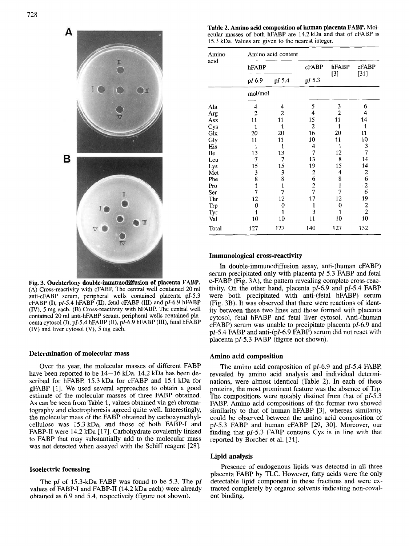

**Fig. 3. Ouchterlony double-immunodiffusion of placenta FABP. (A)** Cross-reactivity with cFABP. The central well contained 20 ml anti-cFABP serum, peripheral wells contained placenta pl-5.3 contained 20 ml anti-hFABP serum, peripheral wells contained centa cytosol (I), **PI-5.4**  hFABP (11), PI-6.9 hFABP (111), fetal hFABP *(W),*  5 mg each. (B) Cross-reactivity with hFABP. The central well cFABP (I), pl-5.4 hFABP (II), fetal cFABP (III) and pl-6.9 hFABP (IV) and liver cytosol (V), *5* mg each.

## **Determination of molecular mass**

Over the year, the molecular masses of different FABP have been reported to be  $14-16$  kDa. 14.2 kDa has been described for hFABP, 15.3 kDa for cFABP and 15.1 kDa for gFABP [l]. We used several approaches to obtain a good estimate of the molecular masses of three FABP obtained. **As** can be seen from Table I, values obtained via gel chromatography and electrophoresis agreed quite well. Interestingly, the molecular mass of the FABP obtained by carboxymethylcellulose was 15.3 kDa, and those of both FABP-I and FABP-I1 were 14.2 kDa [17]. Carbohydrate covalently linked to FABP that may substantially add to the molecular mass was not detected when assayed with the Schiff reagent [28].

## **Isoelectric focussing**

The pl of 15.3-kDa FABP was found to be 5.3. The pl values of FABP-I and FABP-II (14.2 kDa each) were already obtained as 6.9 and 5.4, respectively (figure not shown).

ecular masses of both hFABP are 14.2kDa and that of cFABP is 15.3 kDa. Values are given to the nearest integer.

| <u> 1989 - Andrew Stadt British (1989), series and de la production de la production de la production de la produ</u> |  |  |
|-----------------------------------------------------------------------------------------------------------------------|--|--|
| Amino acid content                                                                                                    |  |  |
| hFABP cFABP hFABP cFABP<br>hFABP                                                                                      |  |  |
|                                                                                                                       |  |  |
| pl 6.9 pl 5.4 pl 5.3                                                                                                  |  |  |
|                                                                                                                       |  |  |
| mol/mol                                                                                                               |  |  |
|                                                                                                                       |  |  |
|                                                                                                                       |  |  |
|                                                                                                                       |  |  |
|                                                                                                                       |  |  |
|                                                                                                                       |  |  |
|                                                                                                                       |  |  |
|                                                                                                                       |  |  |
|                                                                                                                       |  |  |
|                                                                                                                       |  |  |
|                                                                                                                       |  |  |
|                                                                                                                       |  |  |
|                                                                                                                       |  |  |
|                                                                                                                       |  |  |
|                                                                                                                       |  |  |
|                                                                                                                       |  |  |
|                                                                                                                       |  |  |
|                                                                                                                       |  |  |
|                                                                                                                       |  |  |
| 127 127 140 127 132<br>Total                                                                                          |  |  |

## **Immunological cross-reactivity**

Initial of double-immunodiffusion assay, anti-(human cFABP)<br>serum precipitated only with placenta p*I*-5.3 FABP and fetal<br>**BP**. c-FABP (Fig. 3A), the pattern revealing complete cross-reac-<br> $\frac{1}{2}$  or the other hand, plac In double-immunodiffusion assay, anti-(human cFABP) serum precipitated only with placenta pl-5.3 FABP and fetal c-FABP (Fig. 3A), the pattern revealing complete cross-reactivity. On the other hand, placenta pl-6.9 and pl-5.4 FABP were both precipitated with anti-(fetal hFABP) serum (Fig. 3B). It was observed that there were reactions of identity between these two lines and those formed with placenta cytosol, fetal hFABP and fetal liver cytosol. Anti-(human cFABP) serum was unable to precipitate placenta pl-6.9 and PI-5.4 FABP and anti-(pl-6.9 FABP) serum did not react with placenta pI-5.3 FABP (figure not shown).

# **Amino acid composition**

The amino acid composition of pI-6.9 and pI-5.4 FABP, revealed by amino acid analysis and individual determinations, were almost identical (Table 2). In each of these proteins, the most prominent feature was the absence of Trp. The compositions were notably distinct from that of  $pI-5.3$ FABP. Amino acid compositions of the formar two showed similarity to that of human hFABP [3], whereas similarity could be observed between the amino acid composition of pl-5.3 FABP and human cFABP [29, 30]. Moreover, our finding that pl-5.3 FABP contains Cys is in line with that reported by Borcher et al. [31].

## **Lipid analysis**

Presence of endogenous lipids was detected in all three placenta FABP by TLC. However, fatty acids were the only detectable lipid component in these fractions and were extracted completely by organic solvents indicating non-covalent binding.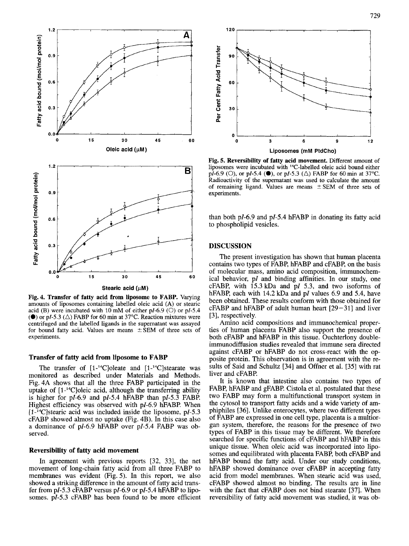

**Fig. 4. Transfer of fatty acid from liposome**  amounts of liposomes containing labelled oleic acid (A) or stearic acid (B) were incubated with 10 mM of either pl-6.9 (O) or pl-5.4 **(0)** or pI-5.3  $(\triangle)$  FABP for 60 min at 37<sup>o</sup>C. Reaction mixtures were centrifuged and the labelled ligands in the supernatant was assayed for bound fatty acid. Values are means  $\pm$  SEM of three sets of experiments.

#### **Transfer of fatty acid from liposome to FABP**

The transfer of  $[1 - 14C]$ oleate and  $[1 - 14C]$ stearate was monitored as described under Materials and Methods. Fig. 4A shows that all the three FABP participated in the uptake of [l-'4C]oleic acid, although the transferring ability is higher for  $pI-6.9$  and  $pI-5.4$  hFABP than  $pI-5.3$  FABP. Highest efficiency was observed with pI-6.9 hFABP. When  $[1 - {}^{14}C]$ stearic acid was included inside the liposome, pI-5.3 cFABP showed almost no uptake (Fig. 4B). In this case also a dominance of pI-6.9 hFABP over pI-5.4 FABP was observed.

## **Reversibility of fatty acid movement**

In agreement with previous reports [32, 33], the net movement of long-chain fatty acid from all three FABP to membranes was evident (Fig. 5). In this report, we also showed a striking difference in the amount of fatty acid transfer from  $pI-5.3$  cFABP versus  $pI-6.9$  or  $pI-5.4$  hFABP to liposomes.  $pI-5.3$  cFABP has been found to be more efficient



**Fig. 5. Reversibility of fatty acid movement.** Different amount of liposomes were incubated with <sup>14</sup>C-labelled oleic acid bound either pl-6.9 (0), or pl-5.4 **(O),** or pl-5.3 (A) FABP for 60 min at 37°C. Radioactivity of the supernatant was used to calculate the amount of remaining ligand. Values are means  $\pm$  SEM of three sets of experiments. **Experiments.** Liposomes (mM PtdCho)<br>Fig. 5. Reversibility of fatty acid movement. Different amount of<br>liposomes were incubated with <sup>14</sup>C-labelled oleic acid bound either<br>pI-6.9 (O), or pI-5.4 (O), or pI-5.3 ( $\triangle$ ) FABP

than both pl-6.9 and pl-5.4 hFABP in donating its fatty acid to phospholipid vesicles.

## **DISCUSSION**

**EXECTSSION**<br>
The present investigation has shown that human placenta<br>
contains two types of FABP, hFABP and cFABP, on the basis<br>
of molecular mass, amino acid composition, immunochem-<br>
ical behavior, pI and binding affini The present investigation has shown that human placenta contains two types of FABP, hFABP and cFABP, on the basis of molecular mass, amino acid composition, immunochemical behavior, pl and binding affinities. In our study, one cFABP, with  $15.3$  kDa and pI 5.3, and two isoforms of hFABP, each with 14.2 kDa and pl values 6.9 and 5.4, have been obtained. These results conform with those obtained for  $cFABP$  and h $FABP$  of adult human heart  $[29-31]$  and liver [3], respectively.

Amino acid compositions and immunochemical properties of human placenta FABP also support the presence of both cFABP and hFABP in this tissue. Ouchterlony doubleimmunodiffusion studies revealed that immune sera directed against cFABP or hFABP do not cross-react with the opposite protein. This observation is in agreement with the results of Said and Schultz [34] and Offner et al. [35] with rat liver and cFABP.

It is known that intestine also contains two types of FABP, hFABP and gFABP. Cistola et al. postulated that these two FABP may form a multifunctional transport system in the cytosol to transport fatty acids and a wide variety of amphiphiles [36]. Unlike enterocytes, where two different types of FABP are expressed in one cell type, placenta is a multiorgan system, therefore, the reasons for the presence of two types of FABP in this tissue may be different. We therefore searched for specific functions of cFABP and hFABP in this unique tissue. When oleic acid was incorporated into liposomes and equilibrated with placenta FABP, both cFABP and hFABP bound the fatty acid. Under our study conditions, hFABP showed dominance over cFABP in accepting fatty acid from model membranes. When stearic acid was used, cFABP showed almost no binding. The results are in line with the fact that cFABP does not bind stearate [37]. When reversibility of fatty acid movement was studied, it was ob